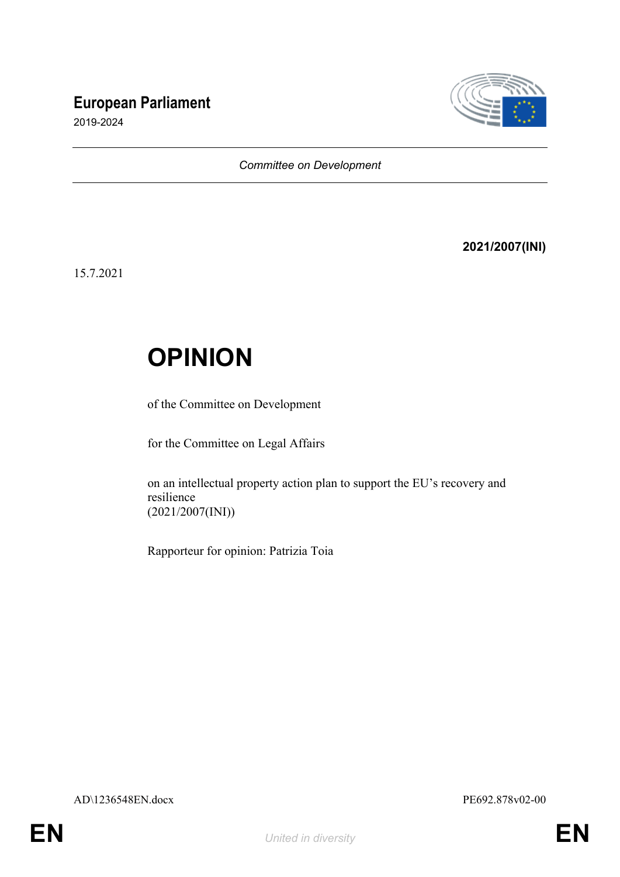# **European Parliament**



2019-2024

#### *Committee on Development*

### **2021/2007(INI)**

15.7.2021

# **OPINION**

of the Committee on Development

for the Committee on Legal Affairs

on an intellectual property action plan to support the EU's recovery and resilience (2021/2007(INI))

Rapporteur for opinion: Patrizia Toia

AD\1236548EN.docx PE692.878v02-00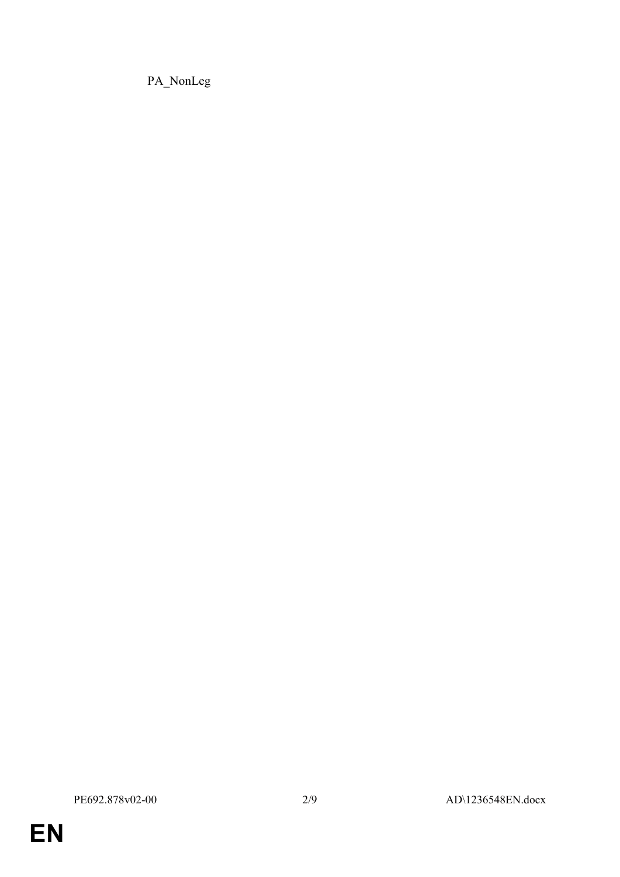PA\_NonLeg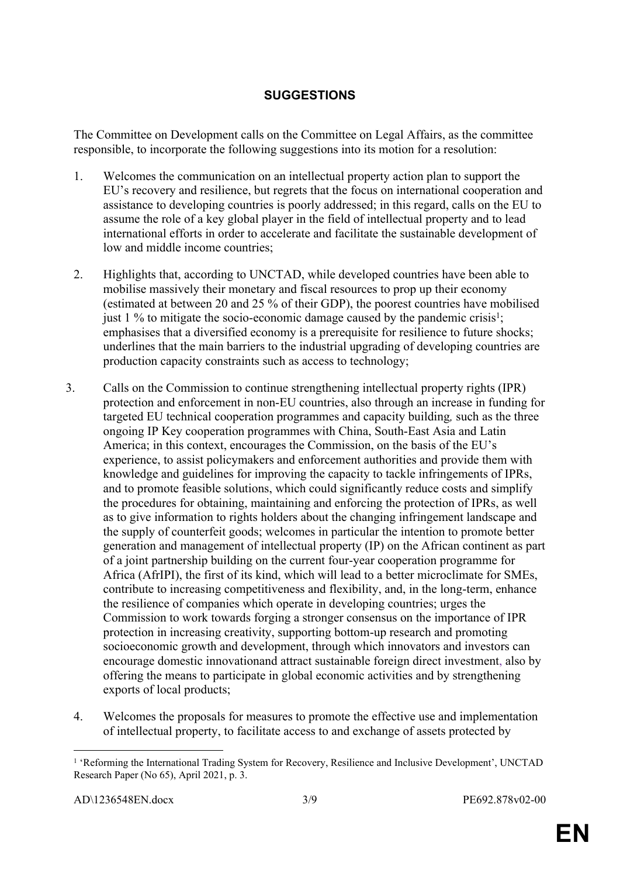### **SUGGESTIONS**

The Committee on Development calls on the Committee on Legal Affairs, as the committee responsible, to incorporate the following suggestions into its motion for a resolution:

- 1. Welcomes the communication on an intellectual property action plan to support the EU's recovery and resilience, but regrets that the focus on international cooperation and assistance to developing countries is poorly addressed; in this regard, calls on the EU to assume the role of a key global player in the field of intellectual property and to lead international efforts in order to accelerate and facilitate the sustainable development of low and middle income countries;
- 2. Highlights that, according to UNCTAD, while developed countries have been able to mobilise massively their monetary and fiscal resources to prop up their economy (estimated at between 20 and 25 % of their GDP), the poorest countries have mobilised just  $1\%$  to mitigate the socio-economic damage caused by the pandemic crisis<sup>1</sup>; emphasises that a diversified economy is a prerequisite for resilience to future shocks; underlines that the main barriers to the industrial upgrading of developing countries are production capacity constraints such as access to technology;
- 3. Calls on the Commission to continue strengthening intellectual property rights (IPR) protection and enforcement in non-EU countries, also through an increase in funding for targeted EU technical cooperation programmes and capacity building*,* such as the three ongoing IP Key cooperation programmes with China, South-East Asia and Latin America; in this context, encourages the Commission, on the basis of the EU's experience, to assist policymakers and enforcement authorities and provide them with knowledge and guidelines for improving the capacity to tackle infringements of IPRs, and to promote feasible solutions, which could significantly reduce costs and simplify the procedures for obtaining, maintaining and enforcing the protection of IPRs, as well as to give information to rights holders about the changing infringement landscape and the supply of counterfeit goods; welcomes in particular the intention to promote better generation and management of intellectual property (IP) on the African continent as part of a joint partnership building on the current four-year cooperation programme for Africa (AfrIPI), the first of its kind, which will lead to a better microclimate for SMEs, contribute to increasing competitiveness and flexibility, and, in the long-term, enhance the resilience of companies which operate in developing countries; urges the Commission to work towards forging a stronger consensus on the importance of IPR protection in increasing creativity, supporting bottom-up research and promoting socioeconomic growth and development, through which innovators and investors can encourage domestic innovationand attract sustainable foreign direct investment, also by offering the means to participate in global economic activities and by strengthening exports of local products;
	- 4. Welcomes the proposals for measures to promote the effective use and implementation of intellectual property, to facilitate access to and exchange of assets protected by

<sup>&</sup>lt;sup>1</sup> 'Reforming the International Trading System for Recovery, Resilience and Inclusive Development', UNCTAD Research Paper (No 65), April 2021, p. 3.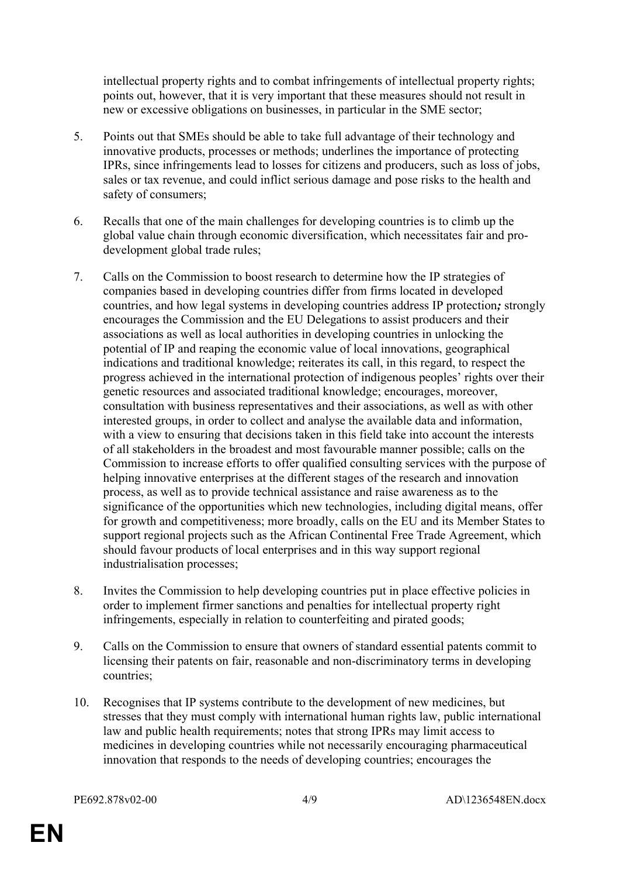intellectual property rights and to combat infringements of intellectual property rights; points out, however, that it is very important that these measures should not result in new or excessive obligations on businesses, in particular in the SME sector;

- 5. Points out that SMEs should be able to take full advantage of their technology and innovative products, processes or methods; underlines the importance of protecting IPRs, since infringements lead to losses for citizens and producers, such as loss of jobs, sales or tax revenue, and could inflict serious damage and pose risks to the health and safety of consumers;
- 6. Recalls that one of the main challenges for developing countries is to climb up the global value chain through economic diversification, which necessitates fair and prodevelopment global trade rules;
- 7. Calls on the Commission to boost research to determine how the IP strategies of companies based in developing countries differ from firms located in developed countries, and how legal systems in developing countries address IP protection*;* strongly encourages the Commission and the EU Delegations to assist producers and their associations as well as local authorities in developing countries in unlocking the potential of IP and reaping the economic value of local innovations, geographical indications and traditional knowledge; reiterates its call, in this regard, to respect the progress achieved in the international protection of indigenous peoples' rights over their genetic resources and associated traditional knowledge; encourages, moreover, consultation with business representatives and their associations, as well as with other interested groups, in order to collect and analyse the available data and information, with a view to ensuring that decisions taken in this field take into account the interests of all stakeholders in the broadest and most favourable manner possible; calls on the Commission to increase efforts to offer qualified consulting services with the purpose of helping innovative enterprises at the different stages of the research and innovation process, as well as to provide technical assistance and raise awareness as to the significance of the opportunities which new technologies, including digital means, offer for growth and competitiveness; more broadly, calls on the EU and its Member States to support regional projects such as the African Continental Free Trade Agreement, which should favour products of local enterprises and in this way support regional industrialisation processes;
- 8. Invites the Commission to help developing countries put in place effective policies in order to implement firmer sanctions and penalties for intellectual property right infringements, especially in relation to counterfeiting and pirated goods;
- 9. Calls on the Commission to ensure that owners of standard essential patents commit to licensing their patents on fair, reasonable and non-discriminatory terms in developing countries;
- 10. Recognises that IP systems contribute to the development of new medicines, but stresses that they must comply with international human rights law, public international law and public health requirements; notes that strong IPRs may limit access to medicines in developing countries while not necessarily encouraging pharmaceutical innovation that responds to the needs of developing countries; encourages the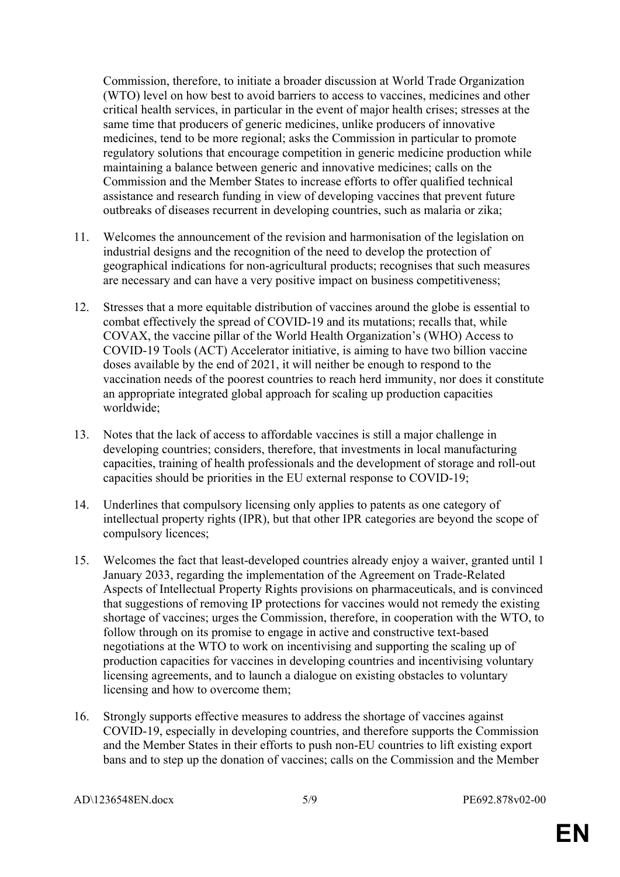Commission, therefore, to initiate a broader discussion at World Trade Organization (WTO) level on how best to avoid barriers to access to vaccines, medicines and other critical health services, in particular in the event of major health crises; stresses at the same time that producers of generic medicines, unlike producers of innovative medicines, tend to be more regional; asks the Commission in particular to promote regulatory solutions that encourage competition in generic medicine production while maintaining a balance between generic and innovative medicines; calls on the Commission and the Member States to increase efforts to offer qualified technical assistance and research funding in view of developing vaccines that prevent future outbreaks of diseases recurrent in developing countries, such as malaria or zika;

- 11. Welcomes the announcement of the revision and harmonisation of the legislation on industrial designs and the recognition of the need to develop the protection of geographical indications for non-agricultural products; recognises that such measures are necessary and can have a very positive impact on business competitiveness;
- 12. Stresses that a more equitable distribution of vaccines around the globe is essential to combat effectively the spread of COVID-19 and its mutations; recalls that, while COVAX, the vaccine pillar of the World Health Organization's (WHO) Access to COVID-19 Tools (ACT) Accelerator initiative, is aiming to have two billion vaccine doses available by the end of 2021, it will neither be enough to respond to the vaccination needs of the poorest countries to reach herd immunity, nor does it constitute an appropriate integrated global approach for scaling up production capacities worldwide;
- 13. Notes that the lack of access to affordable vaccines is still a major challenge in developing countries; considers, therefore, that investments in local manufacturing capacities, training of health professionals and the development of storage and roll-out capacities should be priorities in the EU external response to COVID-19;
- 14. Underlines that compulsory licensing only applies to patents as one category of intellectual property rights (IPR), but that other IPR categories are beyond the scope of compulsory licences;
- 15. Welcomes the fact that least-developed countries already enjoy a waiver, granted until 1 January 2033, regarding the implementation of the Agreement on Trade-Related Aspects of Intellectual Property Rights provisions on pharmaceuticals, and is convinced that suggestions of removing IP protections for vaccines would not remedy the existing shortage of vaccines; urges the Commission, therefore, in cooperation with the WTO, to follow through on its promise to engage in active and constructive text-based negotiations at the WTO to work on incentivising and supporting the scaling up of production capacities for vaccines in developing countries and incentivising voluntary licensing agreements, and to launch a dialogue on existing obstacles to voluntary licensing and how to overcome them;
- 16. Strongly supports effective measures to address the shortage of vaccines against COVID-19, especially in developing countries, and therefore supports the Commission and the Member States in their efforts to push non-EU countries to lift existing export bans and to step up the donation of vaccines; calls on the Commission and the Member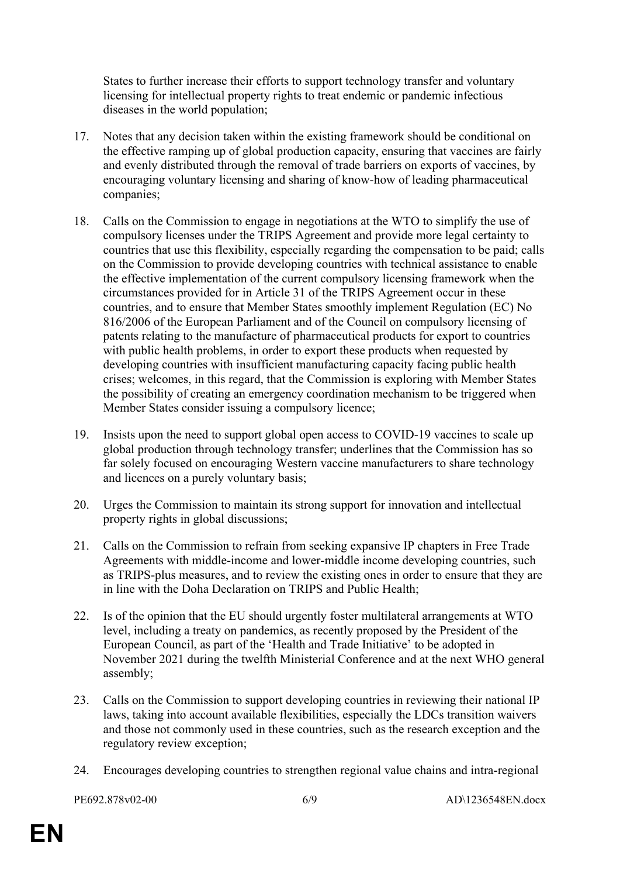States to further increase their efforts to support technology transfer and voluntary licensing for intellectual property rights to treat endemic or pandemic infectious diseases in the world population;

- 17. Notes that any decision taken within the existing framework should be conditional on the effective ramping up of global production capacity, ensuring that vaccines are fairly and evenly distributed through the removal of trade barriers on exports of vaccines, by encouraging voluntary licensing and sharing of know-how of leading pharmaceutical companies;
- 18. Calls on the Commission to engage in negotiations at the WTO to simplify the use of compulsory licenses under the TRIPS Agreement and provide more legal certainty to countries that use this flexibility, especially regarding the compensation to be paid; calls on the Commission to provide developing countries with technical assistance to enable the effective implementation of the current compulsory licensing framework when the circumstances provided for in Article 31 of the TRIPS Agreement occur in these countries, and to ensure that Member States smoothly implement Regulation (EC) No 816/2006 of the European Parliament and of the Council on compulsory licensing of patents relating to the manufacture of pharmaceutical products for export to countries with public health problems, in order to export these products when requested by developing countries with insufficient manufacturing capacity facing public health crises; welcomes, in this regard, that the Commission is exploring with Member States the possibility of creating an emergency coordination mechanism to be triggered when Member States consider issuing a compulsory licence;
- 19. Insists upon the need to support global open access to COVID-19 vaccines to scale up global production through technology transfer; underlines that the Commission has so far solely focused on encouraging Western vaccine manufacturers to share technology and licences on a purely voluntary basis;
- 20. Urges the Commission to maintain its strong support for innovation and intellectual property rights in global discussions;
- 21. Calls on the Commission to refrain from seeking expansive IP chapters in Free Trade Agreements with middle-income and lower-middle income developing countries, such as TRIPS-plus measures, and to review the existing ones in order to ensure that they are in line with the Doha Declaration on TRIPS and Public Health;
- 22. Is of the opinion that the EU should urgently foster multilateral arrangements at WTO level, including a treaty on pandemics, as recently proposed by the President of the European Council, as part of the 'Health and Trade Initiative' to be adopted in November 2021 during the twelfth Ministerial Conference and at the next WHO general assembly;
- 23. Calls on the Commission to support developing countries in reviewing their national IP laws, taking into account available flexibilities, especially the LDCs transition waivers and those not commonly used in these countries, such as the research exception and the regulatory review exception;
- 24. Encourages developing countries to strengthen regional value chains and intra-regional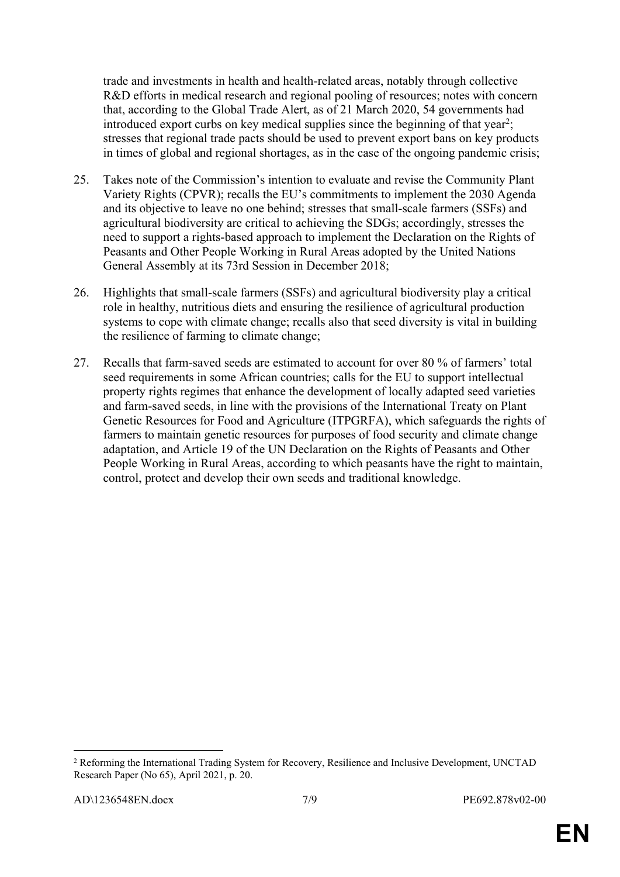trade and investments in health and health-related areas, notably through collective R&D efforts in medical research and regional pooling of resources; notes with concern that, according to the Global Trade Alert, as of 21 March 2020, 54 governments had introduced export curbs on key medical supplies since the beginning of that year<sup>2</sup>; stresses that regional trade pacts should be used to prevent export bans on key products in times of global and regional shortages, as in the case of the ongoing pandemic crisis;

- 25. Takes note of the Commission's intention to evaluate and revise the Community Plant Variety Rights (CPVR); recalls the EU's commitments to implement the 2030 Agenda and its objective to leave no one behind; stresses that small-scale farmers (SSFs) and agricultural biodiversity are critical to achieving the SDGs; accordingly, stresses the need to support a rights-based approach to implement the Declaration on the Rights of Peasants and Other People Working in Rural Areas adopted by the United Nations General Assembly at its 73rd Session in December 2018;
- 26. Highlights that small-scale farmers (SSFs) and agricultural biodiversity play a critical role in healthy, nutritious diets and ensuring the resilience of agricultural production systems to cope with climate change; recalls also that seed diversity is vital in building the resilience of farming to climate change;
- 27. Recalls that farm-saved seeds are estimated to account for over 80 % of farmers' total seed requirements in some African countries; calls for the EU to support intellectual property rights regimes that enhance the development of locally adapted seed varieties and farm-saved seeds, in line with the provisions of the International Treaty on Plant Genetic Resources for Food and Agriculture (ITPGRFA), which safeguards the rights of farmers to maintain genetic resources for purposes of food security and climate change adaptation, and Article 19 of the UN Declaration on the Rights of Peasants and Other People Working in Rural Areas, according to which peasants have the right to maintain, control, protect and develop their own seeds and traditional knowledge.

<sup>&</sup>lt;sup>2</sup> Reforming the International Trading System for Recovery, Resilience and Inclusive Development, UNCTAD Research Paper (No 65), April 2021, p. 20.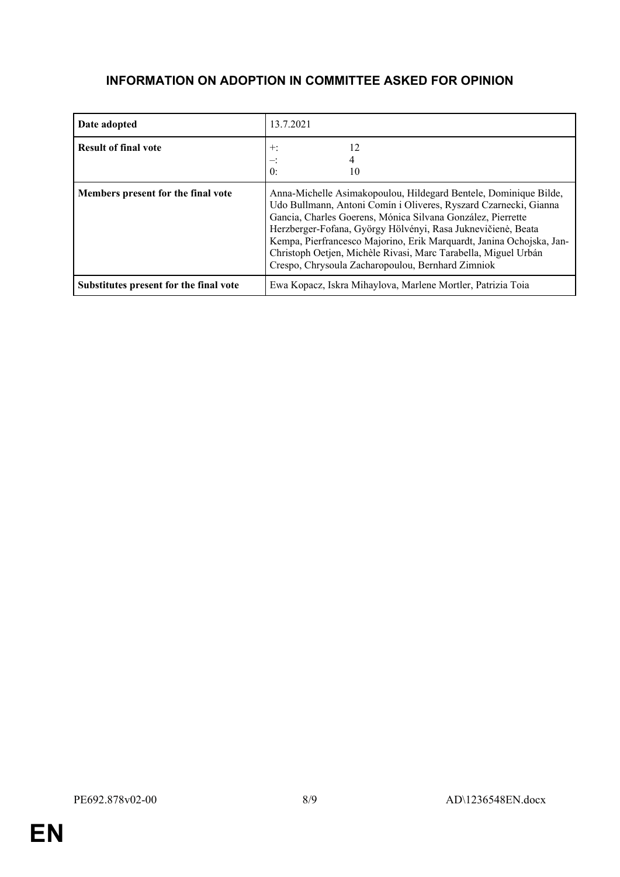## **INFORMATION ON ADOPTION IN COMMITTEE ASKED FOR OPINION**

| Date adopted                           | 13.7.2021                                                                                                                                                                                                                                                                                                                                                                                                                                                          |
|----------------------------------------|--------------------------------------------------------------------------------------------------------------------------------------------------------------------------------------------------------------------------------------------------------------------------------------------------------------------------------------------------------------------------------------------------------------------------------------------------------------------|
| <b>Result of final vote</b>            | 12<br>$+:$<br>$\mathbf{0}$ :<br>10                                                                                                                                                                                                                                                                                                                                                                                                                                 |
| Members present for the final vote     | Anna-Michelle Asimakopoulou, Hildegard Bentele, Dominique Bilde,<br>Udo Bullmann, Antoni Comín i Oliveres, Ryszard Czarnecki, Gianna<br>Gancia, Charles Goerens, Mónica Silvana González, Pierrette<br>Herzberger-Fofana, György Hölvényi, Rasa Juknevičienė, Beata<br>Kempa, Pierfrancesco Majorino, Erik Marquardt, Janina Ochojska, Jan-<br>Christoph Oetjen, Michèle Rivasi, Marc Tarabella, Miguel Urbán<br>Crespo, Chrysoula Zacharopoulou, Bernhard Zimniok |
| Substitutes present for the final vote | Ewa Kopacz, Iskra Mihaylova, Marlene Mortler, Patrizia Toia                                                                                                                                                                                                                                                                                                                                                                                                        |